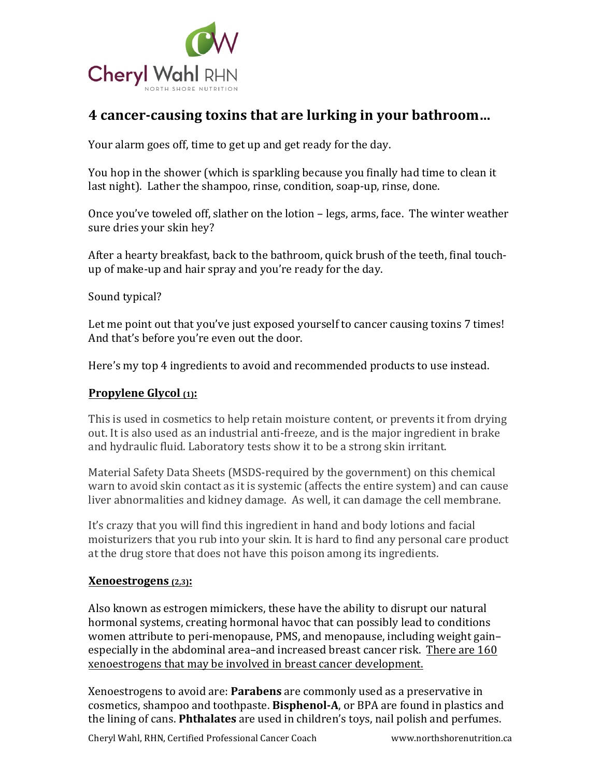

# **4 cancer-causing toxins that are lurking in your bathroom...**

Your alarm goes off, time to get up and get ready for the day.

You hop in the shower (which is sparkling because you finally had time to clean it last night). Lather the shampoo, rinse, condition, soap-up, rinse, done.

Once you've toweled off, slather on the lotion  $-$  legs, arms, face. The winter weather sure dries your skin hey?

After a hearty breakfast, back to the bathroom, quick brush of the teeth, final touchup of make-up and hair spray and you're ready for the day.

Sound typical?

Let me point out that you've just exposed yourself to cancer causing toxins 7 times! And that's before you're even out the door.

Here's my top 4 ingredients to avoid and recommended products to use instead.

### **Propylene Glycol** (1):

This is used in cosmetics to help retain moisture content, or prevents it from drying out. It is also used as an industrial anti-freeze, and is the major ingredient in brake and hydraulic fluid. Laboratory tests show it to be a strong skin irritant.

Material Safety Data Sheets (MSDS-required by the government) on this chemical warn to avoid skin contact as it is systemic (affects the entire system) and can cause liver abnormalities and kidney damage. As well, it can damage the cell membrane.

It's crazy that you will find this ingredient in hand and body lotions and facial moisturizers that you rub into your skin. It is hard to find any personal care product at the drug store that does not have this poison among its ingredients.

#### **Xenoestrogens (2,3):**

Also known as estrogen mimickers, these have the ability to disrupt our natural hormonal systems, creating hormonal havoc that can possibly lead to conditions women attribute to peri-menopause, PMS, and menopause, including weight gain– especially in the abdominal area–and increased breast cancer risk. There are 160 xenoestrogens that may be involved in breast cancer development.

Xenoestrogens to avoid are: Parabens are commonly used as a preservative in cosmetics, shampoo and toothpaste. **Bisphenol-A**, or BPA are found in plastics and the lining of cans. **Phthalates** are used in children's toys, nail polish and perfumes.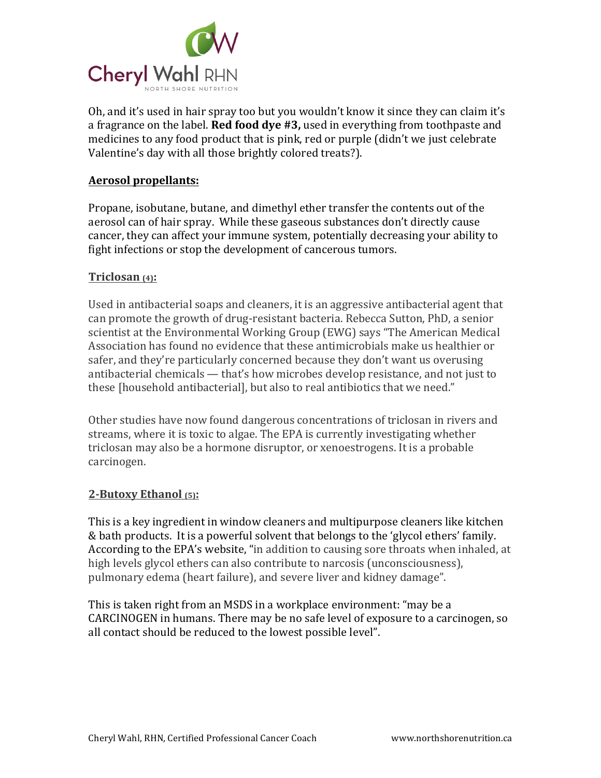

Oh, and it's used in hair spray too but you wouldn't know it since they can claim it's a fragrance on the label. **Red food dye** #3, used in everything from toothpaste and medicines to any food product that is pink, red or purple (didn't we just celebrate Valentine's day with all those brightly colored treats?).

#### **Aerosol propellants:**

Propane, isobutane, butane, and dimethyl ether transfer the contents out of the aerosol can of hair spray. While these gaseous substances don't directly cause cancer, they can affect your immune system, potentially decreasing your ability to fight infections or stop the development of cancerous tumors.

#### **Triclosan (4):**

Used in antibacterial soaps and cleaners, it is an aggressive antibacterial agent that can promote the growth of drug-resistant bacteria. Rebecca Sutton, PhD, a senior scientist at the Environmental Working Group (EWG) says "The American Medical Association has found no evidence that these antimicrobials make us healthier or safer, and they're particularly concerned because they don't want us overusing antibacterial chemicals — that's how microbes develop resistance, and not just to these [household antibacterial], but also to real antibiotics that we need."

Other studies have now found dangerous concentrations of triclosan in rivers and streams, where it is toxic to algae. The EPA is currently investigating whether triclosan may also be a hormone disruptor, or xenoestrogens. It is a probable carcinogen.

#### **2-Butoxy Ethanol (5):**

This is a key ingredient in window cleaners and multipurpose cleaners like kitchen & bath products. It is a powerful solvent that belongs to the 'glycol ethers' family. According to the EPA's website, "in addition to causing sore throats when inhaled, at high levels glycol ethers can also contribute to narcosis (unconsciousness), pulmonary edema (heart failure), and severe liver and kidney damage".

This is taken right from an MSDS in a workplace environment: "may be a CARCINOGEN in humans. There may be no safe level of exposure to a carcinogen, so all contact should be reduced to the lowest possible level".